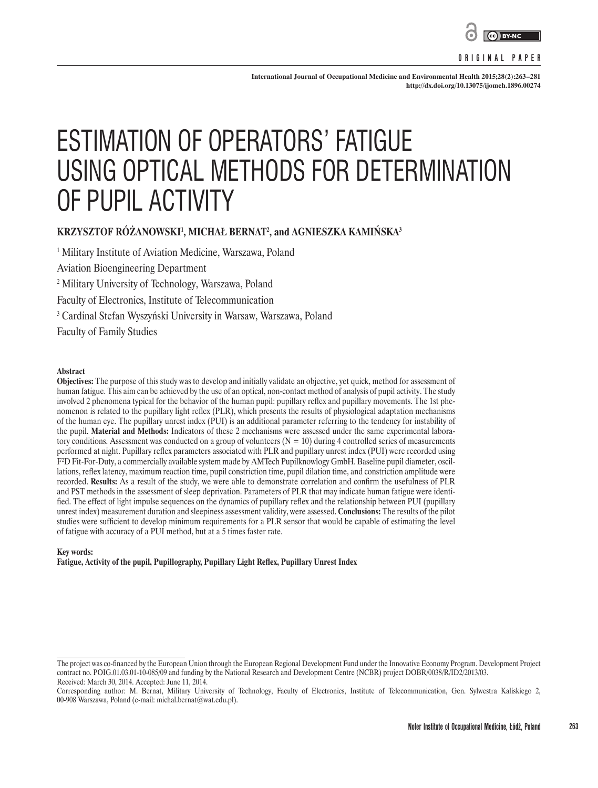

#### **ORIGINAL PAPER**

**International Journal of Occupational Medicine and Environmental Health 2015;28(2):263–281 <http://dx.doi.org/10.13075/ijomeh.1896.00274>**

# ESTIMATION OF OPERATORS' FATIGUE USING OPTICAL METHODS FOR DETERMINATION OF PUPIL ACTIVITY

# $\boldsymbol{\mathsf{K}\text{R}\text{Z}\text{Y}\text{S}\text{Z}\text{TOF}}$  <code>ROZANOWSKI</code><sup>1</sup>, MICHAŁ BERNAT<sup>2</sup>, and AGNIESZKA KAMINSKA<sup>3</sup>

1 Military Institute of Aviation Medicine, Warszawa, Poland

Aviation Bioengineering Department

2 Military University of Technology, Warszawa, Poland

Faculty of Electronics, Institute of Telecommunication

3 Cardinal Stefan Wyszyński University in Warsaw, Warszawa, Poland

Faculty of Family Studies

#### **Abstract**

**Objectives:** The purpose of this study was to develop and initially validate an objective, yet quick, method for assessment of human fatigue. This aim can be achieved by the use of an optical, non-contact method of analysis of pupil activity. The study involved 2 phenomena typical for the behavior of the human pupil: pupillary reflex and pupillary movements. The 1st phenomenon is related to the pupillary light reflex (PLR), which presents the results of physiological adaptation mechanisms of the human eye. The pupillary unrest index (PUI) is an additional parameter referring to the tendency for instability of the pupil. **Material and Methods:** Indicators of these 2 mechanisms were assessed under the same experimental laboratory conditions. Assessment was conducted on a group of volunteers  $(N = 10)$  during 4 controlled series of measurements performed at night. Pupillary reflex parameters associated with PLR and pupillary unrest index (PUI) were recorded using F<sup>2</sup>D Fit-For-Duty, a commercially available system made by AMTech Pupilknowlogy GmbH. Baseline pupil diameter, oscillations, reflex latency, maximum reaction time, pupil constriction time, pupil dilation time, and constriction amplitude were recorded. **Results:** As a result of the study, we were able to demonstrate correlation and confirm the usefulness of PLR and PST methods in the assessment of sleep deprivation. Parameters of PLR that may indicate human fatigue were identified. The effect of light impulse sequences on the dynamics of pupillary reflex and the relationship between PUI (pupillary unrest index) measurement duration and sleepiness assessment validity, were assessed. **Conclusions:** The results of the pilot studies were sufficient to develop minimum requirements for a PLR sensor that would be capable of estimating the level of fatigue with accuracy of a PUI method, but at a 5 times faster rate.

#### **Key words:**

**Fatigue, Activity of the pupil, Pupillography, Pupillary Light Reflex, Pupillary Unrest Index**

The project was co-financed by the European Union through the European Regional Development Fund under the Innovative Economy Program. Development Project contract no. POIG.01.03.01-10-085/09 and funding by the National Research and Development Centre (NCBR) project DOBR/0038/R/ID2/2013/03. Received: March 30, 2014. Accepted: June 11, 2014.

Corresponding author: M. Bernat, Military University of Technology, Faculty of Electronics, Institute of Telecommunication, Gen. Sylwestra Kaliskiego 2, 00-908 Warszawa, Poland (e-mail: michal.bernat@wat.edu.pl).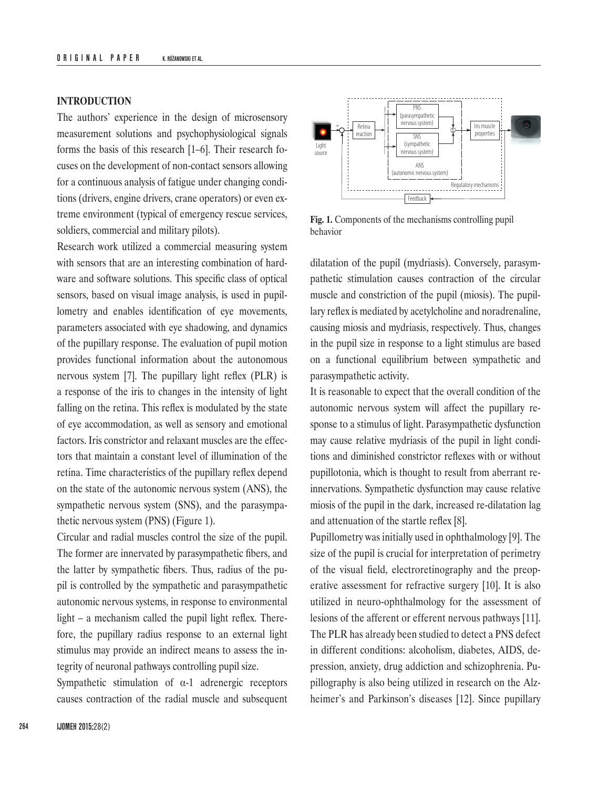## **INTRODUCTION**

The authors' experience in the design of microsensory measurement solutions and psychophysiological signals forms the basis of this research [1–6]. Their research focuses on the development of non-contact sensors allowing for a continuous analysis of fatigue under changing conditions (drivers, engine drivers, crane operators) or even extreme environment (typical of emergency rescue services, soldiers, commercial and military pilots).

Research work utilized a commercial measuring system with sensors that are an interesting combination of hardware and software solutions. This specific class of optical sensors, based on visual image analysis, is used in pupillometry and enables identification of eye movements, parameters associated with eye shadowing, and dynamics of the pupillary response. The evaluation of pupil motion provides functional information about the autonomous nervous system [7]. The pupillary light reflex (PLR) is a response of the iris to changes in the intensity of light falling on the retina. This reflex is modulated by the state of eye accommodation, as well as sensory and emotional factors. Iris constrictor and relaxant muscles are the effectors that maintain a constant level of illumination of the retina. Time characteristics of the pupillary reflex depend on the state of the autonomic nervous system (ANS), the sympathetic nervous system (SNS), and the parasympathetic nervous system (PNS) (Figure 1).

Circular and radial muscles control the size of the pupil. The former are innervated by parasympathetic fibers, and the latter by sympathetic fibers. Thus, radius of the pupil is controlled by the sympathetic and parasympathetic autonomic nervous systems, in response to environmental light – a mechanism called the pupil light reflex. Therefore, the pupillary radius response to an external light stimulus may provide an indirect means to assess the integrity of neuronal pathways controlling pupil size.

Sympathetic stimulation of  $\alpha$ -1 adrenergic receptors causes contraction of the radial muscle and subsequent



**Fig. 1.** Components of the mechanisms controlling pupil behavior

dilatation of the pupil (mydriasis). Conversely, parasympathetic stimulation causes contraction of the circular muscle and constriction of the pupil (miosis). The pupillary reflex is mediated by acetylcholine and noradrenaline, causing miosis and mydriasis, respectively. Thus, changes in the pupil size in response to a light stimulus are based on a functional equilibrium between sympathetic and parasympathetic activity.

It is reasonable to expect that the overall condition of the autonomic nervous system will affect the pupillary response to a stimulus of light. Parasympathetic dysfunction may cause relative mydriasis of the pupil in light conditions and diminished constrictor reflexes with or without pupillotonia, which is thought to result from aberrant reinnervations. Sympathetic dysfunction may cause relative miosis of the pupil in the dark, increased re-dilatation lag and attenuation of the startle reflex [8].

Pupillometry was initially used in ophthalmology [9]. The size of the pupil is crucial for interpretation of perimetry of the visual field, electroretinography and the preoperative assessment for refractive surgery [10]. It is also utilized in neuro-ophthalmology for the assessment of lesions of the afferent or efferent nervous pathways [11]. The PLR has already been studied to detect a PNS defect in different conditions: alcoholism, diabetes, AIDS, depression, anxiety, drug addiction and schizophrenia. Pupillography is also being utilized in research on the Alzheimer's and Parkinson's diseases [12]. Since pupillary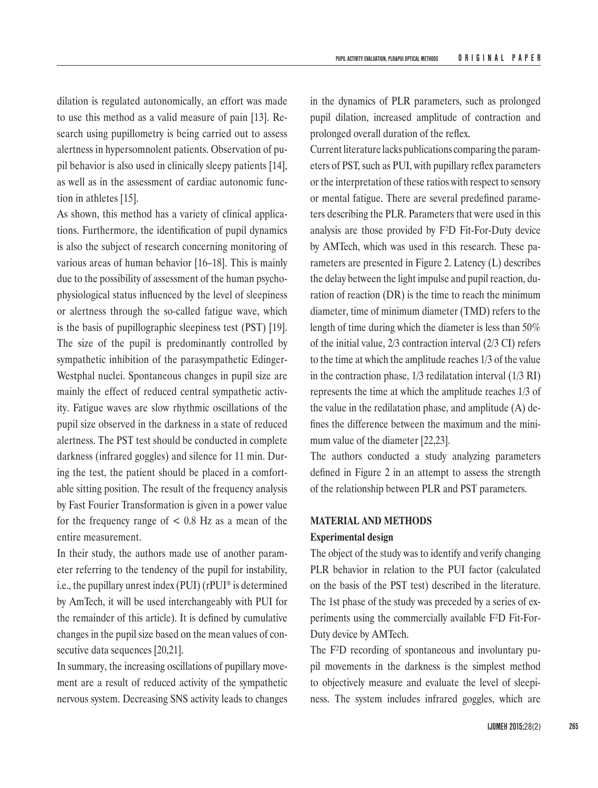dilation is regulated autonomically, an effort was made to use this method as a valid measure of pain [13]. Research using pupillometry is being carried out to assess alertness in hypersomnolent patients. Observation of pupil behavior is also used in clinically sleepy patients [14], as well as in the assessment of cardiac autonomic function in athletes [15].

As shown, this method has a variety of clinical applications. Furthermore, the identification of pupil dynamics is also the subject of research concerning monitoring of various areas of human behavior [16–18]. This is mainly due to the possibility of assessment of the human psychophysiological status influenced by the level of sleepiness or alertness through the so-called fatigue wave, which is the basis of pupillographic sleepiness test (PST) [19]. The size of the pupil is predominantly controlled by sympathetic inhibition of the parasympathetic Edinger-Westphal nuclei. Spontaneous changes in pupil size are mainly the effect of reduced central sympathetic activity. Fatigue waves are slow rhythmic oscillations of the pupil size observed in the darkness in a state of reduced alertness. The PST test should be conducted in complete darkness (infrared goggles) and silence for 11 min. During the test, the patient should be placed in a comfortable sitting position. The result of the frequency analysis by Fast Fourier Transformation is given in a power value for the frequency range of  $\lt$  0.8 Hz as a mean of the entire measurement.

In their study, the authors made use of another parameter referring to the tendency of the pupil for instability, i.e., the pupillary unrest index (PUI) (rPUI® is determined by AmTech, it will be used interchangeably with PUI for the remainder of this article). It is defined by cumulative changes in the pupil size based on the mean values of consecutive data sequences [20,21].

In summary, the increasing oscillations of pupillary movement are a result of reduced activity of the sympathetic nervous system. Decreasing SNS activity leads to changes

in the dynamics of PLR parameters, such as prolonged pupil dilation, increased amplitude of contraction and prolonged overall duration of the reflex.

Current literature lacks publications comparing the parameters of PST, such as PUI, with pupillary reflex parameters or the interpretation of these ratios with respect to sensory or mental fatigue. There are several predefined parameters describing the PLR. Parameters that were used in this analysis are those provided by F²D Fit-For-Duty device by AMTech, which was used in this research. These parameters are presented in Figure 2. Latency (L) describes the delay between the light impulse and pupil reaction, duration of reaction (DR) is the time to reach the minimum diameter, time of minimum diameter (TMD) refers to the length of time during which the diameter is less than 50% of the initial value, 2/3 contraction interval (2/3 CI) refers to the time at which the amplitude reaches 1/3 of the value in the contraction phase, 1/3 redilatation interval (1/3 RI) represents the time at which the amplitude reaches 1/3 of the value in the redilatation phase, and amplitude (A) defines the difference between the maximum and the minimum value of the diameter [22,23].

The authors conducted a study analyzing parameters defined in Figure 2 in an attempt to assess the strength of the relationship between PLR and PST parameters.

## **MATERIAL AND METHODS**

#### **Experimental design**

The object of the study was to identify and verify changing PLR behavior in relation to the PUI factor (calculated on the basis of the PST test) described in the literature. The 1st phase of the study was preceded by a series of experiments using the commercially available F²D Fit-For-Duty device by AMTech.

The F²D recording of spontaneous and involuntary pupil movements in the darkness is the simplest method to objectively measure and evaluate the level of sleepiness. The system includes infrared goggles, which are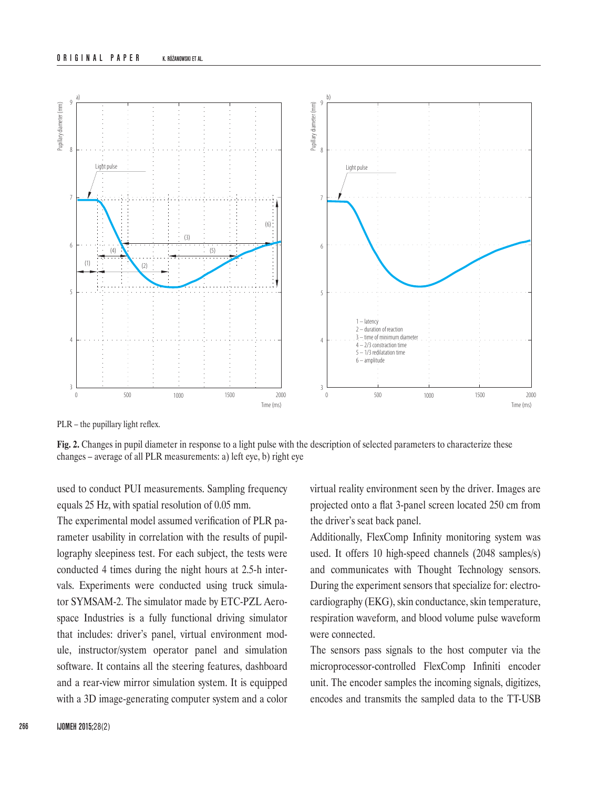#### **ORIGINAL PAPER** K. RÓŻANOWSKI ET AL.



PLR – the pupillary light reflex.

**Fig. 2.** Changes in pupil diameter in response to a light pulse with the description of selected parameters to characterize these changes – average of all PLR measurements: a) left eye, b) right eye

used to conduct PUI measurements. Sampling frequency equals 25 Hz, with spatial resolution of 0.05 mm.

The experimental model assumed verification of PLR parameter usability in correlation with the results of pupillography sleepiness test. For each subject, the tests were conducted 4 times during the night hours at 2.5-h intervals. Experiments were conducted using truck simulator SYMSAM-2. The simulator made by ETC-PZL Aerospace Industries is a fully functional driving simulator that includes: driver's panel, virtual environment module, instructor/system operator panel and simulation software. It contains all the steering features, dashboard and a rear-view mirror simulation system. It is equipped with a 3D image-generating computer system and a color virtual reality environment seen by the driver. Images are projected onto a flat 3-panel screen located 250 cm from the driver's seat back panel.

Additionally, FlexComp Infinity monitoring system was used. It offers 10 high-speed channels (2048 samples/s) and communicates with Thought Technology sensors. During the experiment sensors that specialize for: electrocardiography (EKG), skin conductance, skin temperature, respiration waveform, and blood volume pulse waveform were connected.

The sensors pass signals to the host computer via the microprocessor-controlled FlexComp Infiniti encoder unit. The encoder samples the incoming signals, digitizes, encodes and transmits the sampled data to the TT-USB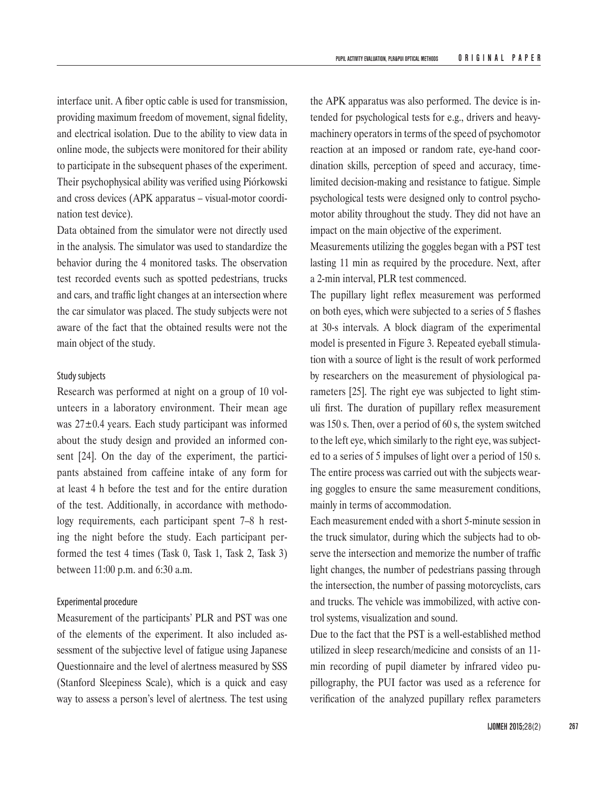interface unit. A fiber optic cable is used for transmission, providing maximum freedom of movement, signal fidelity, and electrical isolation. Due to the ability to view data in online mode, the subjects were monitored for their ability to participate in the subsequent phases of the experiment. Their psychophysical ability was verified using Piórkowski and cross devices (APK apparatus – visual-motor coordination test device).

Data obtained from the simulator were not directly used in the analysis. The simulator was used to standardize the behavior during the 4 monitored tasks. The observation test recorded events such as spotted pedestrians, trucks and cars, and traffic light changes at an intersection where the car simulator was placed. The study subjects were not aware of the fact that the obtained results were not the main object of the study.

# Study subjects

Research was performed at night on a group of 10 volunteers in a laboratory environment. Their mean age was 27±0.4 years. Each study participant was informed about the study design and provided an informed consent [24]. On the day of the experiment, the participants abstained from caffeine intake of any form for at least 4 h before the test and for the entire duration of the test. Additionally, in accordance with methodology requirements, each participant spent 7–8 h resting the night before the study. Each participant performed the test 4 times (Task 0, Task 1, Task 2, Task 3) between 11:00 p.m. and 6:30 a.m.

## Experimental procedure

Measurement of the participants' PLR and PST was one of the elements of the experiment. It also included assessment of the subjective level of fatigue using Japanese Questionnaire and the level of alertness measured by SSS (Stanford Sleepiness Scale), which is a quick and easy way to assess a person's level of alertness. The test using

the APK apparatus was also performed. The device is intended for psychological tests for e.g., drivers and heavymachinery operators in terms of the speed of psychomotor reaction at an imposed or random rate, eye-hand coordination skills, perception of speed and accuracy, timelimited decision-making and resistance to fatigue. Simple psychological tests were designed only to control psychomotor ability throughout the study. They did not have an impact on the main objective of the experiment.

Measurements utilizing the goggles began with a PST test lasting 11 min as required by the procedure. Next, after a 2-min interval, PLR test commenced.

The pupillary light reflex measurement was performed on both eyes, which were subjected to a series of 5 flashes at 30-s intervals. A block diagram of the experimental model is presented in Figure 3. Repeated eyeball stimulation with a source of light is the result of work performed by researchers on the measurement of physiological parameters [25]. The right eye was subjected to light stimuli first. The duration of pupillary reflex measurement was 150 s. Then, over a period of 60 s, the system switched to the left eye, which similarly to the right eye, was subjected to a series of 5 impulses of light over a period of 150 s. The entire process was carried out with the subjects wearing goggles to ensure the same measurement conditions, mainly in terms of accommodation.

Each measurement ended with a short 5-minute session in the truck simulator, during which the subjects had to observe the intersection and memorize the number of traffic light changes, the number of pedestrians passing through the intersection, the number of passing motorcyclists, cars and trucks. The vehicle was immobilized, with active control systems, visualization and sound.

Due to the fact that the PST is a well-established method utilized in sleep research/medicine and consists of an 11 min recording of pupil diameter by infrared video pupillography, the PUI factor was used as a reference for verification of the analyzed pupillary reflex parameters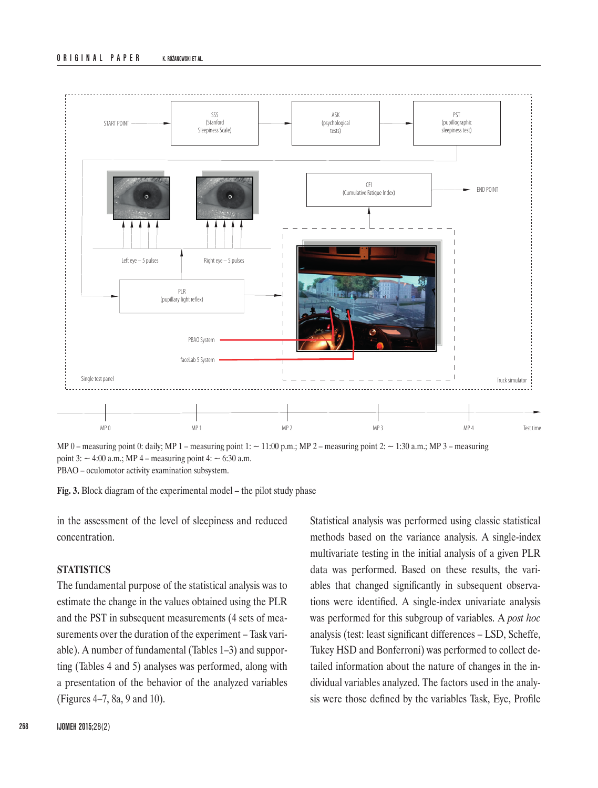

MP 0 – measuring point 0: daily; MP 1 – measuring point 1:  $\sim$  11:00 p.m.; MP 2 – measuring point 2:  $\sim$  1:30 a.m.; MP 3 – measuring point  $3:$   $\sim$  4:00 a.m.; MP 4 – measuring point 4:  $\sim$  6:30 a.m. PBAO – oculomotor activity examination subsystem.

**Fig. 3.** Block diagram of the experimental model – the pilot study phase

in the assessment of the level of sleepiness and reduced concentration.

## **STATISTICS**

The fundamental purpose of the statistical analysis was to estimate the change in the values obtained using the PLR and the PST in subsequent measurements (4 sets of measurements over the duration of the experiment – Task variable). A number of fundamental (Tables 1–3) and supporting (Tables 4 and 5) analyses was performed, along with a presentation of the behavior of the analyzed variables (Figures 4–7, 8a, 9 and 10).

Statistical analysis was performed using classic statistical methods based on the variance analysis. A single-index multivariate testing in the initial analysis of a given PLR data was performed. Based on these results, the variables that changed significantly in subsequent observations were identified. A single-index univariate analysis was performed for this subgroup of variables. A *post hoc* analysis (test: least significant differences – LSD, Scheffe, Tukey HSD and Bonferroni) was performed to collect detailed information about the nature of changes in the individual variables analyzed. The factors used in the analysis were those defined by the variables Task, Eye, Profile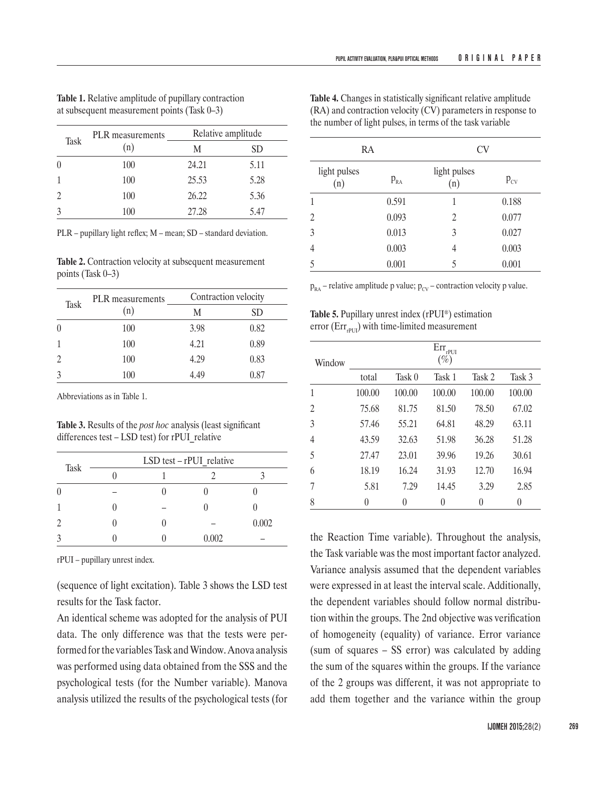**Table 4.** Changes in statistically significant relative amplitude (RA) and contraction velocity (CV) parameters in response to the number of light pulses, in terms of the task variable

| Task     | PLR measurements | Relative amplitude |      |  |
|----------|------------------|--------------------|------|--|
|          | (n)              | М                  | SD   |  |
| $\left($ | 100              | 24.21              | 5.11 |  |
|          | 100              | 25.53              | 5.28 |  |
|          | 100              | 26.22              | 5.36 |  |
|          | 100              | 27.28              | 5.47 |  |

**Table 1.** Relative amplitude of pupillary contraction at subsequent measurement points (Task 0–3)

PLR – pupillary light reflex; M – mean; SD – standard deviation.

**Table 2.** Contraction velocity at subsequent measurement points (Task 0–3)

| Task | <b>PLR</b> measurements | Contraction velocity |      |  |
|------|-------------------------|----------------------|------|--|
|      | (n)                     | М                    | SD   |  |
|      | 100                     | 3.98                 | 0.82 |  |
|      | 100                     | 4.21                 | 0.89 |  |
|      | 100                     | 4.29                 | 0.83 |  |
|      | 100                     | 4.49                 | 0.87 |  |

Abbreviations as in Table 1.

**Table 3.** Results of the *post hoc* analysis (least significant differences test – LSD test) for rPUI\_relative

|          |  | LSD test - rPUI relative |       |
|----------|--|--------------------------|-------|
| Task     |  |                          |       |
| $\theta$ |  |                          |       |
|          |  |                          |       |
| 2        |  |                          | 0.002 |
|          |  | 0.002                    |       |

rPUI – pupillary unrest index.

(sequence of light excitation). Table 3 shows the LSD test results for the Task factor.

An identical scheme was adopted for the analysis of PUI data. The only difference was that the tests were performed for the variables Task and Window. Anova analysis was performed using data obtained from the SSS and the psychological tests (for the Number variable). Manova analysis utilized the results of the psychological tests (for

| RA                  |          | CV                  |          |
|---------------------|----------|---------------------|----------|
| light pulses<br>(n) | $P_{RA}$ | light pulses<br>(n) | $P_{CV}$ |
| 1                   | 0.591    | 1                   | 0.188    |
| $\overline{2}$      | 0.093    | $\overline{2}$      | 0.077    |
| 3                   | 0.013    | 3                   | 0.027    |
| 4                   | 0.003    | 4                   | 0.003    |
| 5                   | 0.001    | 5                   | 0.001    |

 $p_{RA}$  – relative amplitude p value;  $p_{CV}$  – contraction velocity p value.

**Table 5.** Pupillary unrest index (rPUI®) estimation error ( $Err_{\text{perII}}$ ) with time-limited measurement

| Window |        |        | $\mathrm{Err}_{\text{rPUI}}$<br>$(\%)$ |        |        |
|--------|--------|--------|----------------------------------------|--------|--------|
|        | total  | Task 0 | Task 1                                 | Task 2 | Task 3 |
| 1      | 100.00 | 100.00 | 100.00                                 | 100.00 | 100.00 |
| 2      | 75.68  | 81.75  | 81.50                                  | 78.50  | 67.02  |
| 3      | 57.46  | 55.21  | 64.81                                  | 48.29  | 63.11  |
| 4      | 43.59  | 32.63  | 51.98                                  | 36.28  | 51.28  |
| 5      | 27.47  | 23.01  | 39.96                                  | 19.26  | 30.61  |
| 6      | 18.19  | 16.24  | 31.93                                  | 12.70  | 16.94  |
| 7      | 5.81   | 7.29   | 14.45                                  | 3.29   | 2.85   |
| 8      | 0      | 0      | $\left( \right)$                       | 0      | 0      |

the Reaction Time variable). Throughout the analysis, the Task variable was the most important factor analyzed. Variance analysis assumed that the dependent variables were expressed in at least the interval scale. Additionally, the dependent variables should follow normal distribution within the groups. The 2nd objective was verification of homogeneity (equality) of variance. Error variance (sum of squares – SS error) was calculated by adding the sum of the squares within the groups. If the variance of the 2 groups was different, it was not appropriate to add them together and the variance within the group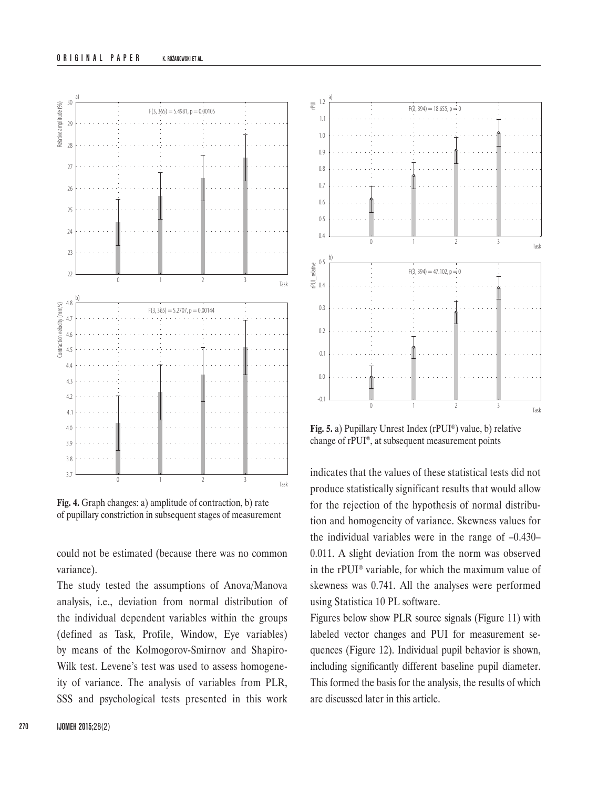

**Fig. 4.** Graph changes: a) amplitude of contraction, b) rate of pupillary constriction in subsequent stages of measurement

could not be estimated (because there was no common variance).

The study tested the assumptions of Anova/Manova analysis, i.e., deviation from normal distribution of the individual dependent variables within the groups (defined as Task, Profile, Window, Eye variables) by means of the Kolmogorov-Smirnov and Shapiro-Wilk test. Levene's test was used to assess homogeneity of variance. The analysis of variables from PLR, SSS and psychological tests presented in this work



**Fig. 5.** a) Pupillary Unrest Index (rPUI®) value, b) relative change of rPUI®, at subsequent measurement points

indicates that the values of these statistical tests did not produce statistically significant results that would allow for the rejection of the hypothesis of normal distribution and homogeneity of variance. Skewness values for the individual variables were in the range of  $-0.430-$ 0.011. A slight deviation from the norm was observed in the rPUI® variable, for which the maximum value of skewness was 0.741. All the analyses were performed using Statistica 10 PL software.

Figures below show PLR source signals (Figure 11) with labeled vector changes and PUI for measurement sequences (Figure 12). Individual pupil behavior is shown, including significantly different baseline pupil diameter. This formed the basis for the analysis, the results of which are discussed later in this article.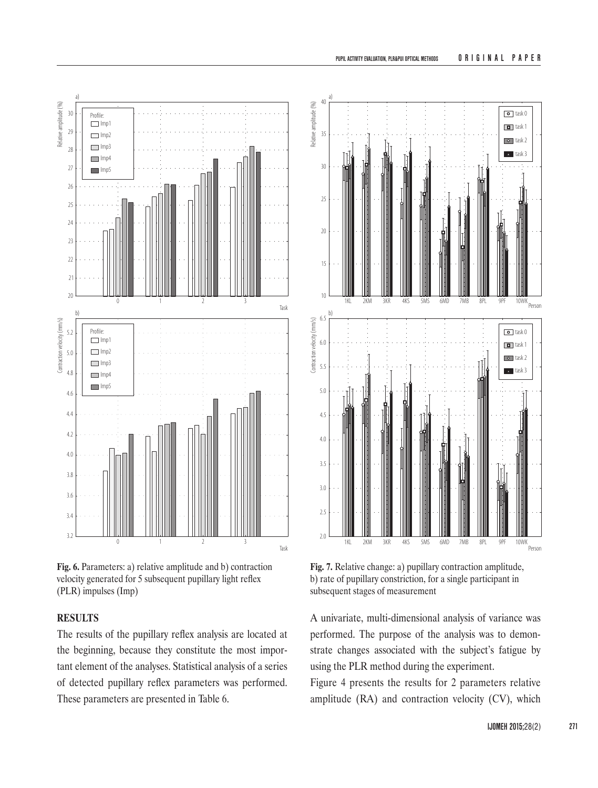

**Fig. 6.** Parameters: a) relative amplitude and b) contraction velocity generated for 5 subsequent pupillary light reflex (PLR) impulses (Imp)

# **RESULTS**

The results of the pupillary reflex analysis are located at the beginning, because they constitute the most important element of the analyses. Statistical analysis of a series of detected pupillary reflex parameters was performed. These parameters are presented in Table 6.



**Fig. 7.** Relative change: a) pupillary contraction amplitude, b) rate of pupillary constriction, for a single participant in subsequent stages of measurement

A univariate, multi-dimensional analysis of variance was performed. The purpose of the analysis was to demonstrate changes associated with the subject's fatigue by using the PLR method during the experiment.

Figure 4 presents the results for 2 parameters relative amplitude (RA) and contraction velocity (CV), which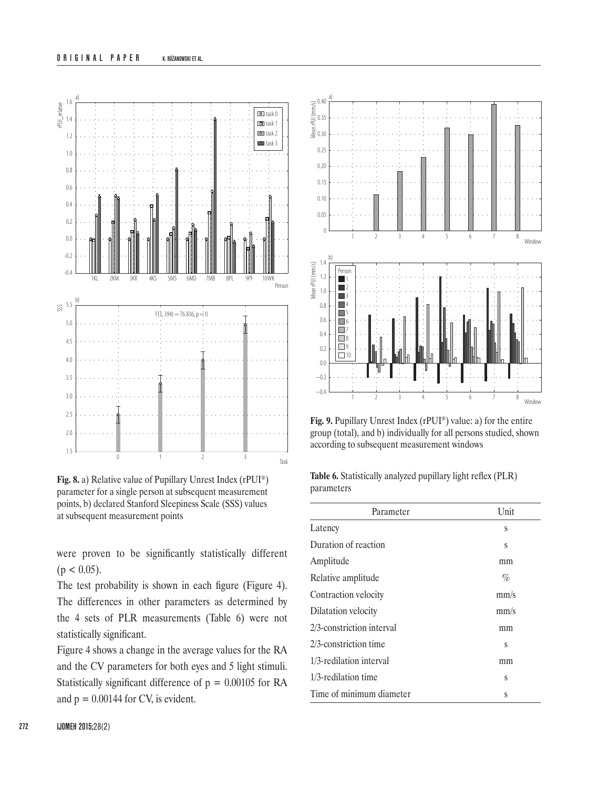### **ORIGINAL PAPER** K. RÓŻANOWSKI ET AL.



**Fig. 8.** a) Relative value of Pupillary Unrest Index (rPUI®) parameter for a single person at subsequent measurement points, b) declared Stanford Sleepiness Scale (SSS) values at subsequent measurement points

were proven to be significantly statistically different  $(p < 0.05)$ .

The test probability is shown in each figure (Figure 4). The differences in other parameters as determined by the 4 sets of PLR measurements (Table 6) were not statistically significant.

Figure 4 shows a change in the average values for the RA and the CV parameters for both eyes and 5 light stimuli. Statistically significant difference of  $p = 0.00105$  for RA and  $p = 0.00144$  for CV, is evident.



**Fig. 9.** Pupillary Unrest Index (rPUI®) value: a) for the entire group (total), and b) individually for all persons studied, shown according to subsequent measurement windows

**Table 6.** Statistically analyzed pupillary light reflex (PLR) parameters

| Parameter                 | Unit |
|---------------------------|------|
| Latency                   | S    |
| Duration of reaction      | S    |
| Amplitude                 | mm   |
| Relative amplitude        | %    |
| Contraction velocity      | mm/s |
| Dilatation velocity       | mm/s |
| 2/3-constriction interval | mm   |
| 2/3-constriction time     | S    |
| 1/3-redilation interval   | mm   |
| $1/3$ -redilation time    | S    |
| Time of minimum diameter  | S    |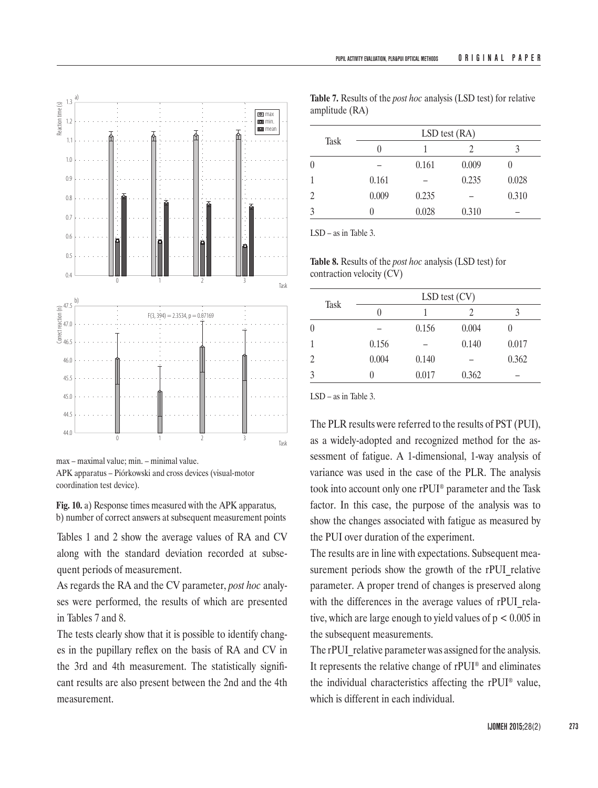

max – maximal value; min. – minimal value.

APK apparatus – Piórkowski and cross devices (visual-motor coordination test device).

**Fig. 10.** a) Response times measured with the APK apparatus, b) number of correct answers at subsequent measurement points

Tables 1 and 2 show the average values of RA and CV along with the standard deviation recorded at subsequent periods of measurement.

As regards the RA and the CV parameter, *post hoc* analyses were performed, the results of which are presented in Tables 7 and 8.

The tests clearly show that it is possible to identify changes in the pupillary reflex on the basis of RA and CV in the 3rd and 4th measurement. The statistically significant results are also present between the 2nd and the 4th measurement.

**Table 7.** Results of the *post hoc* analysis (LSD test) for relative amplitude (RA)

| <b>Task</b> | $LSD$ test $(RA)$ |       |       |       |  |  |
|-------------|-------------------|-------|-------|-------|--|--|
|             | 0                 |       |       |       |  |  |
| 0           |                   | 0.161 | 0.009 |       |  |  |
| 1           | 0.161             |       | 0.235 | 0.028 |  |  |
| 2           | 0.009             | 0.235 |       | 0.310 |  |  |
| 3           |                   | 0.028 | 0.310 |       |  |  |

LSD – as in Table 3.

**Table 8.** Results of the *post hoc* analysis (LSD test) for contraction velocity (CV)

|             | $LSD$ test $(CV)$ |       |       |       |  |  |
|-------------|-------------------|-------|-------|-------|--|--|
| <b>Task</b> | 0                 |       |       | 3     |  |  |
| $\theta$    |                   | 0.156 | 0.004 |       |  |  |
| 1           | 0.156             |       | 0.140 | 0.017 |  |  |
| 2           | 0.004             | 0.140 |       | 0.362 |  |  |
| 3           | $\mathbf{0}$      | 0.017 | 0.362 |       |  |  |

LSD – as in Table 3.

The PLR results were referred to the results of PST (PUI), as a widely-adopted and recognized method for the assessment of fatigue. A 1-dimensional, 1-way analysis of variance was used in the case of the PLR. The analysis took into account only one rPUI® parameter and the Task factor. In this case, the purpose of the analysis was to show the changes associated with fatigue as measured by the PUI over duration of the experiment.

The results are in line with expectations. Subsequent measurement periods show the growth of the rPUI relative parameter. A proper trend of changes is preserved along with the differences in the average values of rPUI relative, which are large enough to yield values of  $p < 0.005$  in the subsequent measurements.

The rPUI relative parameter was assigned for the analysis. It represents the relative change of rPUI® and eliminates the individual characteristics affecting the rPUI® value, which is different in each individual.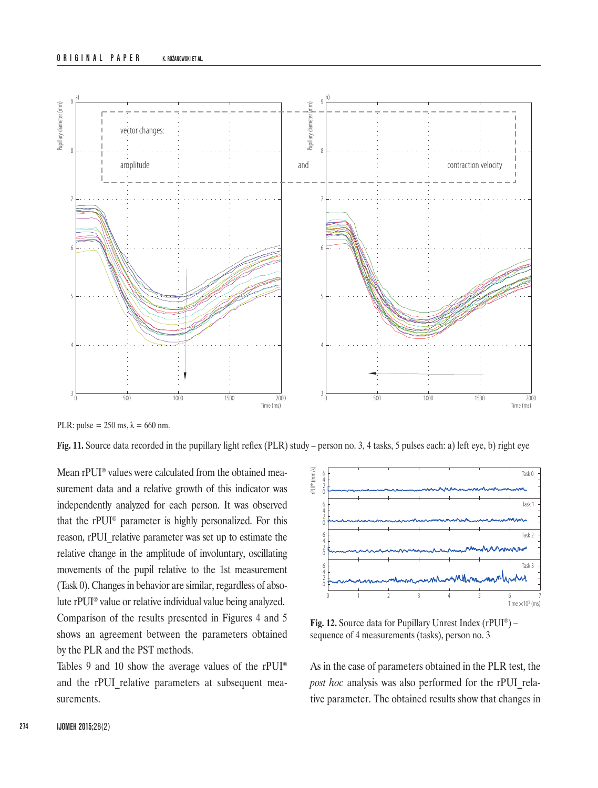#### **ORIGINAL PAPER** K. RÓŻANOWSKI ET AL.



PLR: pulse =  $250 \text{ ms}$ ,  $\lambda = 660 \text{ nm}$ .

**Fig. 11.** Source data recorded in the pupillary light reflex (PLR) study – person no. 3, 4 tasks, 5 pulses each: a) left eye, b) right eye

Mean rPUI® values were calculated from the obtained measurement data and a relative growth of this indicator was independently analyzed for each person. It was observed that the rPUI® parameter is highly personalized. For this reason, rPUI relative parameter was set up to estimate the relative change in the amplitude of involuntary, oscillating movements of the pupil relative to the 1st measurement (Task 0). Changes in behavior are similar, regardless of absolute rPUI® value or relative individual value being analyzed. Comparison of the results presented in Figures 4 and 5

shows an agreement between the parameters obtained by the PLR and the PST methods.

Tables 9 and 10 show the average values of the rPUI® and the rPUI relative parameters at subsequent measurements.



**Fig. 12.** Source data for Pupillary Unrest Index (rPUI®) – sequence of 4 measurements (tasks), person no. 3

As in the case of parameters obtained in the PLR test, the *post hoc* analysis was also performed for the rPUI\_relative parameter. The obtained results show that changes in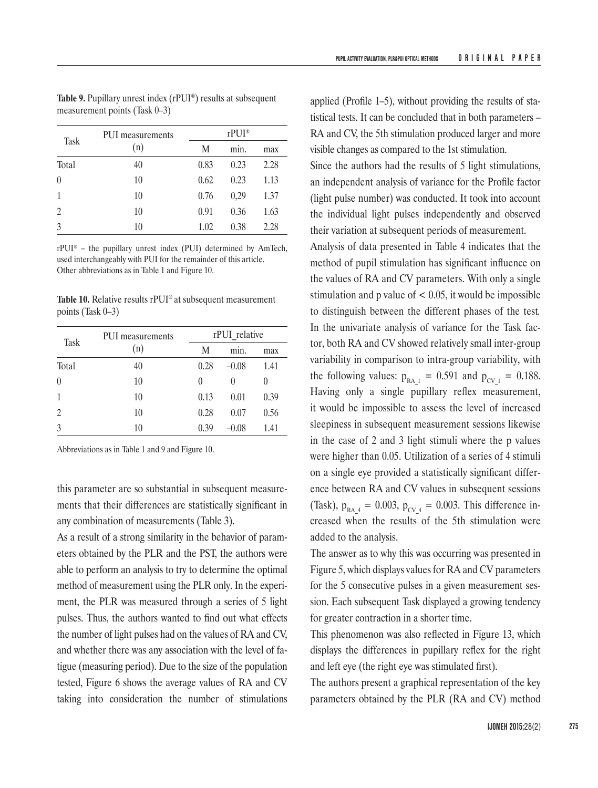| <b>Task</b>    | PUI measurements | $r$ PUI® |      |      |
|----------------|------------------|----------|------|------|
|                | (n)              | M        | min. | max  |
| Total          | 40               | 0.83     | 0.23 | 2.28 |
| $\theta$       | 10               | 0.62     | 0.23 | 1.13 |
| $\mathbf{1}$   | 10               | 0.76     | 0,29 | 1.37 |
| $\overline{2}$ | 10               | 0.91     | 0.36 | 1.63 |
| 3              | 10               | 1.02     | 0.38 | 2.28 |

**Table 9.** Pupillary unrest index (rPUI®) results at subsequent measurement points (Task 0–3)

rPUI® – the pupillary unrest index (PUI) determined by AmTech, used interchangeably with PUI for the remainder of this article. Other abbreviations as in Table 1 and Figure 10.

**Table 10.** Relative results rPUI® at subsequent measurement points (Task 0–3)

| <b>Task</b>    | PUI measurements |                  | rPUI relative |              |  |  |
|----------------|------------------|------------------|---------------|--------------|--|--|
|                | (n)              | M                | min.          | max          |  |  |
| Total          | 40               | 0.28             | $-0.08$       | 1.41         |  |  |
| $\theta$       | 10               | $\left( \right)$ | $\theta$      | $\mathbf{0}$ |  |  |
| 1              | 10               | 0.13             | 0.01          | 0.39         |  |  |
| $\overline{2}$ | 10               | 0.28             | 0.07          | 0.56         |  |  |
| 3              | 10               | 0.39             | $-0.08$       | 1.41         |  |  |

Abbreviations as in Table 1 and 9 and Figure 10.

this parameter are so substantial in subsequent measurements that their differences are statistically significant in any combination of measurements (Table 3).

As a result of a strong similarity in the behavior of parameters obtained by the PLR and the PST, the authors were able to perform an analysis to try to determine the optimal method of measurement using the PLR only. In the experiment, the PLR was measured through a series of 5 light pulses. Thus, the authors wanted to find out what effects the number of light pulses had on the values of RA and CV, and whether there was any association with the level of fatigue (measuring period). Due to the size of the population tested, Figure 6 shows the average values of RA and CV taking into consideration the number of stimulations

applied (Profile 1–5), without providing the results of statistical tests. It can be concluded that in both parameters – RA and CV, the 5th stimulation produced larger and more visible changes as compared to the 1st stimulation.

Since the authors had the results of 5 light stimulations, an independent analysis of variance for the Profile factor (light pulse number) was conducted. It took into account the individual light pulses independently and observed their variation at subsequent periods of measurement.

Analysis of data presented in Table 4 indicates that the method of pupil stimulation has significant influence on the values of RA and CV parameters. With only a single stimulation and p value of  $< 0.05$ , it would be impossible to distinguish between the different phases of the test*.*  In the univariate analysis of variance for the Task factor, both RA and CV showed relatively small inter-group variability in comparison to intra-group variability, with the following values:  $p_{RA_1} = 0.591$  and  $p_{CV_1} = 0.188$ . Having only a single pupillary reflex measurement, it would be impossible to assess the level of increased sleepiness in subsequent measurement sessions likewise in the case of 2 and 3 light stimuli where the p values were higher than 0.05. Utilization of a series of 4 stimuli on a single eye provided a statistically significant difference between RA and CV values in subsequent sessions (Task),  $p_{RA_4} = 0.003$ ,  $p_{CV_4} = 0.003$ . This difference increased when the results of the 5th stimulation were added to the analysis.

The answer as to why this was occurring was presented in Figure 5, which displays values for RA and CV parameters for the 5 consecutive pulses in a given measurement session. Each subsequent Task displayed a growing tendency for greater contraction in a shorter time.

This phenomenon was also reflected in Figure 13, which displays the differences in pupillary reflex for the right and left eye (the right eye was stimulated first).

The authors present a graphical representation of the key parameters obtained by the PLR (RA and CV) method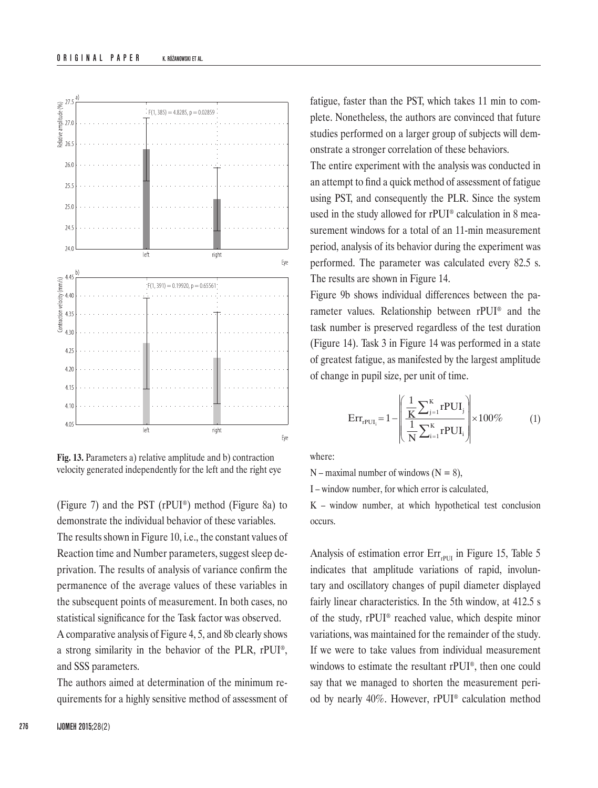

**Fig. 13.** Parameters a) relative amplitude and b) contraction velocity generated independently for the left and the right eye

(Figure 7) and the PST (rPUI®) method (Figure 8a) to demonstrate the individual behavior of these variables. The results shown in Figure 10, i.e., the constant values of Reaction time and Number parameters, suggest sleep deprivation. The results of analysis of variance confirm the permanence of the average values of these variables in the subsequent points of measurement. In both cases, no statistical significance for the Task factor was observed.

A comparative analysis of Figure 4, 5, and 8b clearly shows a strong similarity in the behavior of the PLR, rPUI®, and SSS parameters.

The authors aimed at determination of the minimum requirements for a highly sensitive method of assessment of fatigue, faster than the PST, which takes 11 min to complete. Nonetheless, the authors are convinced that future studies performed on a larger group of subjects will demonstrate a stronger correlation of these behaviors.

The entire experiment with the analysis was conducted in an attempt to find a quick method of assessment of fatigue using PST, and consequently the PLR. Since the system used in the study allowed for rPUI® calculation in 8 measurement windows for a total of an 11-min measurement period, analysis of its behavior during the experiment was performed. The parameter was calculated every 82.5 s. The results are shown in Figure 14.

Figure 9b shows individual differences between the parameter values. Relationship between rPUI® and the task number is preserved regardless of the test duration (Figure 14). Task 3 in Figure 14 was performed in a state of greatest fatigue, as manifested by the largest amplitude of change in pupil size, per unit of time.

$$
Err_{rPUI_i} = 1 - \left(\frac{\frac{1}{K} \sum_{j=1}^{K} rPUI_j}{\frac{1}{N} \sum_{i=1}^{K} rPUI_i}\right) \times 100\%
$$
 (1)

where:

 $N$  – maximal number of windows ( $N = 8$ ),

I – window number, for which error is calculated,

K – window number, at which hypothetical test conclusion occurs.

Analysis of estimation error  $Err_{\text{PIII}}$  in Figure 15, Table 5 indicates that amplitude variations of rapid, involuntary and oscillatory changes of pupil diameter displayed fairly linear characteristics. In the 5th window, at 412.5 s of the study, rPUI® reached value, which despite minor variations, was maintained for the remainder of the study. If we were to take values from individual measurement windows to estimate the resultant rPUI®, then one could say that we managed to shorten the measurement period by nearly 40%. However, rPUI® calculation method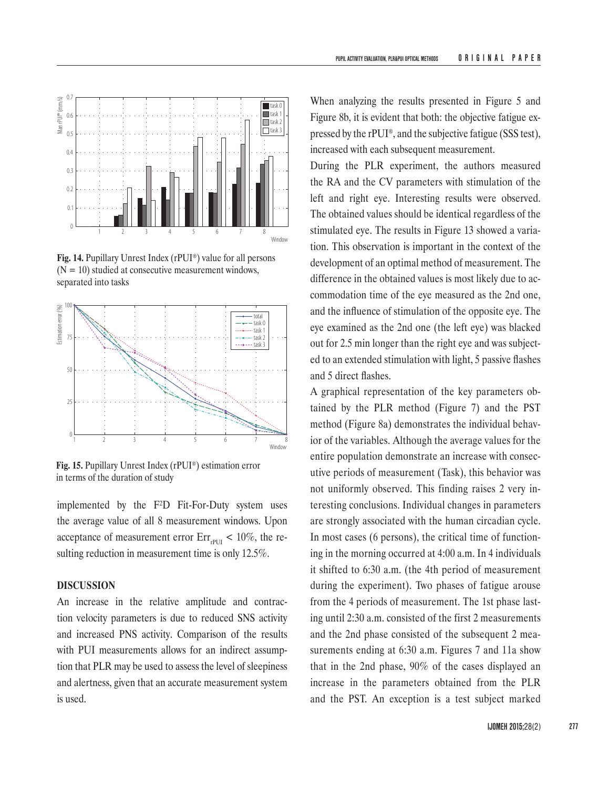

**Fig. 14.** Pupillary Unrest Index (rPUI®) value for all persons  $(N = 10)$  studied at consecutive measurement windows, separated into tasks



**Fig. 15.** Pupillary Unrest Index (rPUI®) estimation error in terms of the duration of study

implemented by the F²D Fit-For-Duty system uses the average value of all 8 measurement windows. Upon acceptance of measurement error  $Err_{\text{rPUI}}$  < 10%, the resulting reduction in measurement time is only 12.5%.

#### **DISCUSSION**

An increase in the relative amplitude and contraction velocity parameters is due to reduced SNS activity and increased PNS activity. Comparison of the results with PUI measurements allows for an indirect assumption that PLR may be used to assess the level of sleepiness and alertness, given that an accurate measurement system is used.

When analyzing the results presented in Figure 5 and Figure 8b, it is evident that both: the objective fatigue expressed by the rPUI®, and the subjective fatigue (SSS test), increased with each subsequent measurement.

During the PLR experiment, the authors measured the RA and the CV parameters with stimulation of the left and right eye. Interesting results were observed. The obtained values should be identical regardless of the stimulated eye. The results in Figure 13 showed a variation. This observation is important in the context of the development of an optimal method of measurement. The difference in the obtained values is most likely due to accommodation time of the eye measured as the 2nd one, and the influence of stimulation of the opposite eye. The eye examined as the 2nd one (the left eye) was blacked out for 2.5 min longer than the right eye and was subjected to an extended stimulation with light, 5 passive flashes and 5 direct flashes.

A graphical representation of the key parameters obtained by the PLR method (Figure 7) and the PST method (Figure 8a) demonstrates the individual behavior of the variables. Although the average values for the entire population demonstrate an increase with consecutive periods of measurement (Task), this behavior was not uniformly observed. This finding raises 2 very interesting conclusions. Individual changes in parameters are strongly associated with the human circadian cycle. In most cases (6 persons), the critical time of functioning in the morning occurred at 4:00 a.m. In 4 individuals it shifted to 6:30 a.m. (the 4th period of measurement during the experiment). Two phases of fatigue arouse from the 4 periods of measurement. The 1st phase lasting until 2:30 a.m. consisted of the first 2 measurements and the 2nd phase consisted of the subsequent 2 measurements ending at 6:30 a.m. Figures 7 and 11a show that in the 2nd phase, 90% of the cases displayed an increase in the parameters obtained from the PLR and the PST. An exception is a test subject marked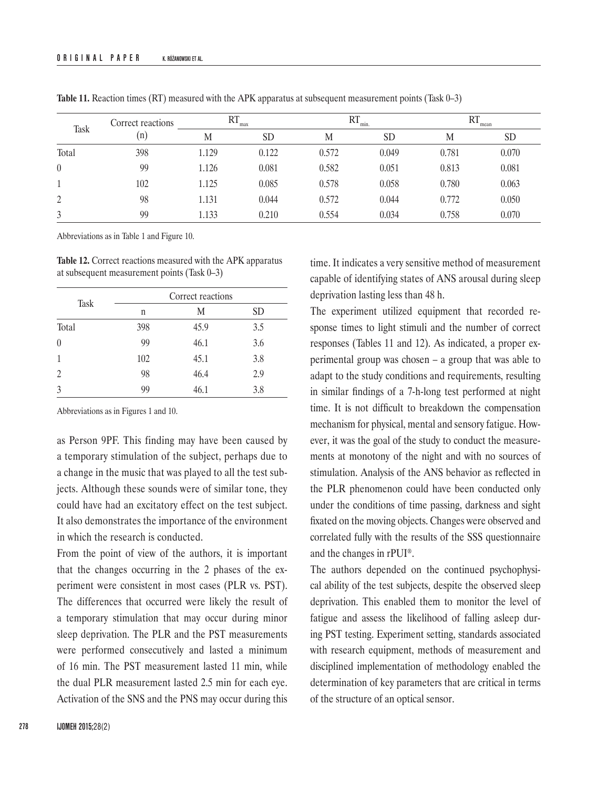| Task     | Correct reactions | <b>RT</b><br>max |           | $RT_{min.}$ |           | RT    | mean      |  |
|----------|-------------------|------------------|-----------|-------------|-----------|-------|-----------|--|
|          | (n)               | M                | <b>SD</b> | М           | <b>SD</b> | M     | <b>SD</b> |  |
| Total    | 398               | 1.129            | 0.122     | 0.572       | 0.049     | 0.781 | 0.070     |  |
| $\theta$ | 99                | 1.126            | 0.081     | 0.582       | 0.051     | 0.813 | 0.081     |  |
|          | 102               | 1.125            | 0.085     | 0.578       | 0.058     | 0.780 | 0.063     |  |
| 2        | 98                | 1.131            | 0.044     | 0.572       | 0.044     | 0.772 | 0.050     |  |
| 3        | 99                | 1.133            | 0.210     | 0.554       | 0.034     | 0.758 | 0.070     |  |

**Table 11.** Reaction times (RT) measured with the APK apparatus at subsequent measurement points (Task 0–3)

Abbreviations as in Table 1 and Figure 10.

**Table 12.** Correct reactions measured with the APK apparatus at subsequent measurement points (Task 0–3)

|              |     | Correct reactions |     |
|--------------|-----|-------------------|-----|
| Task         | n   | M                 | SD  |
| Total        | 398 | 45.9              | 3.5 |
| $\theta$     | 99  | 46.1              | 3.6 |
| $\mathbf{1}$ | 102 | 45.1              | 3.8 |
| 2            | 98  | 46.4              | 2.9 |
| 3            | 99  | 46.1              | 3.8 |

Abbreviations as in Figures 1 and 10.

as Person 9PF. This finding may have been caused by a temporary stimulation of the subject, perhaps due to a change in the music that was played to all the test subjects. Although these sounds were of similar tone, they could have had an excitatory effect on the test subject. It also demonstrates the importance of the environment in which the research is conducted.

From the point of view of the authors, it is important that the changes occurring in the 2 phases of the experiment were consistent in most cases (PLR vs. PST). The differences that occurred were likely the result of a temporary stimulation that may occur during minor sleep deprivation. The PLR and the PST measurements were performed consecutively and lasted a minimum of 16 min. The PST measurement lasted 11 min, while the dual PLR measurement lasted 2.5 min for each eye. Activation of the SNS and the PNS may occur during this

time. It indicates a very sensitive method of measurement capable of identifying states of ANS arousal during sleep deprivation lasting less than 48 h.

The experiment utilized equipment that recorded response times to light stimuli and the number of correct responses (Tables 11 and 12). As indicated, a proper experimental group was chosen – a group that was able to adapt to the study conditions and requirements, resulting in similar findings of a 7-h-long test performed at night time. It is not difficult to breakdown the compensation mechanism for physical, mental and sensory fatigue. However, it was the goal of the study to conduct the measurements at monotony of the night and with no sources of stimulation. Analysis of the ANS behavior as reflected in the PLR phenomenon could have been conducted only under the conditions of time passing, darkness and sight fixated on the moving objects. Changes were observed and correlated fully with the results of the SSS questionnaire and the changes in rPUI®.

The authors depended on the continued psychophysical ability of the test subjects, despite the observed sleep deprivation. This enabled them to monitor the level of fatigue and assess the likelihood of falling asleep during PST testing. Experiment setting, standards associated with research equipment, methods of measurement and disciplined implementation of methodology enabled the determination of key parameters that are critical in terms of the structure of an optical sensor.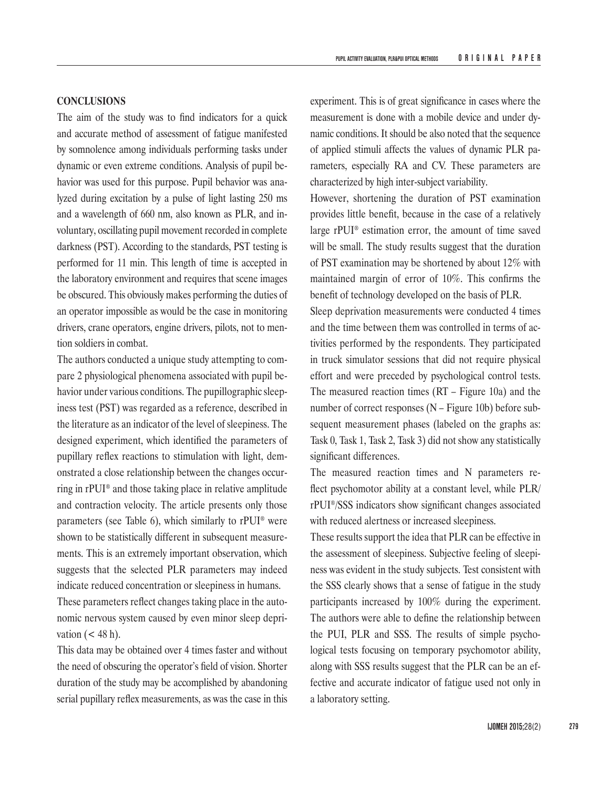# **CONCLUSIONS**

The aim of the study was to find indicators for a quick and accurate method of assessment of fatigue manifested by somnolence among individuals performing tasks under dynamic or even extreme conditions. Analysis of pupil behavior was used for this purpose. Pupil behavior was analyzed during excitation by a pulse of light lasting 250 ms and a wavelength of 660 nm, also known as PLR, and involuntary, oscillating pupil movement recorded in complete darkness (PST). According to the standards, PST testing is performed for 11 min. This length of time is accepted in the laboratory environment and requires that scene images be obscured. This obviously makes performing the duties of an operator impossible as would be the case in monitoring drivers, crane operators, engine drivers, pilots, not to mention soldiers in combat.

The authors conducted a unique study attempting to compare 2 physiological phenomena associated with pupil behavior under various conditions. The pupillographic sleepiness test (PST) was regarded as a reference, described in the literature as an indicator of the level of sleepiness. The designed experiment, which identified the parameters of pupillary reflex reactions to stimulation with light, demonstrated a close relationship between the changes occurring in rPUI® and those taking place in relative amplitude and contraction velocity. The article presents only those parameters (see Table 6), which similarly to rPUI® were shown to be statistically different in subsequent measurements. This is an extremely important observation, which suggests that the selected PLR parameters may indeed indicate reduced concentration or sleepiness in humans.

These parameters reflect changes taking place in the autonomic nervous system caused by even minor sleep deprivation  $(< 48 \text{ h})$ .

This data may be obtained over 4 times faster and without the need of obscuring the operator's field of vision. Shorter duration of the study may be accomplished by abandoning serial pupillary reflex measurements, as was the case in this

experiment. This is of great significance in cases where the measurement is done with a mobile device and under dynamic conditions. It should be also noted that the sequence of applied stimuli affects the values of dynamic PLR parameters, especially RA and CV. These parameters are characterized by high inter-subject variability.

However, shortening the duration of PST examination provides little benefit, because in the case of a relatively large rPUI® estimation error, the amount of time saved will be small. The study results suggest that the duration of PST examination may be shortened by about 12% with maintained margin of error of 10%. This confirms the benefit of technology developed on the basis of PLR.

Sleep deprivation measurements were conducted 4 times and the time between them was controlled in terms of activities performed by the respondents. They participated in truck simulator sessions that did not require physical effort and were preceded by psychological control tests. The measured reaction times (RT *–* Figure 10a) and the number of correct responses (N *–* Figure 10b) before subsequent measurement phases (labeled on the graphs as: Task 0, Task 1, Task 2, Task 3) did not show any statistically significant differences.

The measured reaction times and N parameters reflect psychomotor ability at a constant level, while PLR/ rPUI®/SSS indicators show significant changes associated with reduced alertness or increased sleepiness.

These results support the idea that PLR can be effective in the assessment of sleepiness. Subjective feeling of sleepiness was evident in the study subjects. Test consistent with the SSS clearly shows that a sense of fatigue in the study participants increased by 100% during the experiment. The authors were able to define the relationship between the PUI, PLR and SSS. The results of simple psychological tests focusing on temporary psychomotor ability, along with SSS results suggest that the PLR can be an effective and accurate indicator of fatigue used not only in a laboratory setting.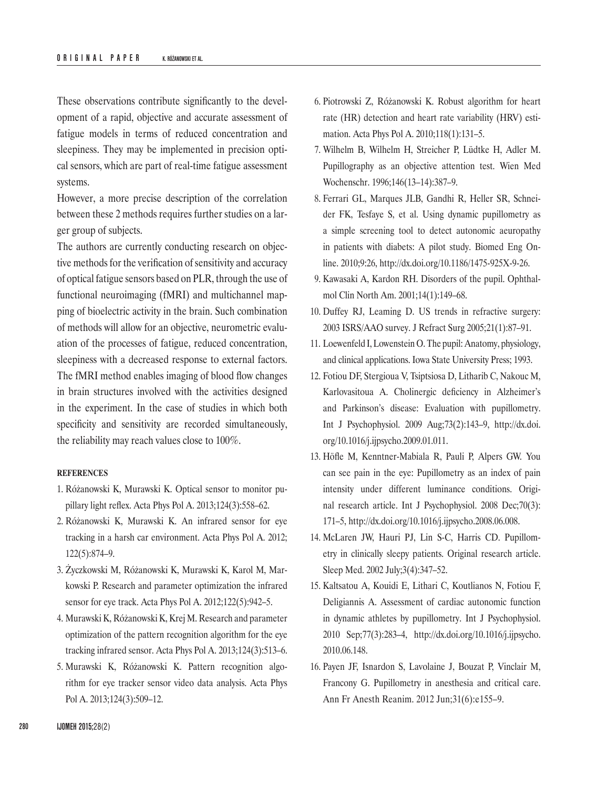These observations contribute significantly to the development of a rapid, objective and accurate assessment of fatigue models in terms of reduced concentration and sleepiness. They may be implemented in precision optical sensors, which are part of real-time fatigue assessment systems.

However, a more precise description of the correlation between these 2 methods requires further studies on a larger group of subjects.

The authors are currently conducting research on objective methods for the verification of sensitivity and accuracy of optical fatigue sensors based on PLR, through the use of functional neuroimaging (fMRI) and multichannel mapping of bioelectric activity in the brain. Such combination of methods will allow for an objective, neurometric evaluation of the processes of fatigue, reduced concentration, sleepiness with a decreased response to external factors. The fMRI method enables imaging of blood flow changes in brain structures involved with the activities designed in the experiment. In the case of studies in which both specificity and sensitivity are recorded simultaneously, the reliability may reach values close to 100%.

#### **REFERENCES**

- 1. Różanowski K, Murawski K. Optical sensor to monitor pupillary light reflex. Acta Phys Pol A. 2013;124(3):558–62.
- 2. Różanowski K, Murawski K. An infrared sensor for eye tracking in a harsh car environment. Acta Phys Pol A. 2012; 122(5):874–9.
- 3. Życzkowski M, Różanowski K, Murawski K, Karol M, Markowski P. Research and parameter optimization the infrared sensor for eye track. Acta Phys Pol A. 2012;122(5):942–5.
- 4. Murawski K, Różanowski K, Krej M. Research and parameter optimization of the pattern recognition algorithm for the eye tracking infrared sensor. Acta Phys Pol A. 2013;124(3):513–6.
- 5. Murawski K, Różanowski K. Pattern recognition algorithm for eye tracker sensor video data analysis. Acta Phys Pol A. 2013;124(3):509–12.
- 6. Piotrowski Z, Różanowski K. Robust algorithm for heart rate (HR) detection and heart rate variability (HRV) estimation. Acta Phys Pol A. 2010;118(1):131–5.
- 7. Wilhelm B, Wilhelm H, Streicher P, Lüdtke H, Adler M. Pupillography as an objective attention test. Wien Med Wochenschr. 1996;146(13–14):387–9.
- 8. Ferrari GL, Marques JLB, Gandhi R, Heller SR, Schneider FK, Tesfaye S, et al. Using dynamic pupillometry as a simple screening tool to detect autonomic aeuropathy in patients with diabets: A pilot study. Biomed Eng Online. 2010;9:26, [http://dx.doi.org/10.1186/1475-925X-9-26.](http://dx.doi.org/10.1186/1475-925X-9-26)
- 9. Kawasaki A, Kardon RH. Disorders of the pupil. Ophthalmol Clin North Am. 2001;14(1):149–68.
- 10. Duffey RJ, Leaming D. US trends in refractive surgery: 2003 ISRS/AAO survey. J Refract Surg 2005;21(1):87–91.
- 11. Loewenfeld I, Lowenstein O. The pupil: Anatomy, physiology, and clinical applications. Iowa State University Press; 1993.
- 12. Fotiou DF, Stergioua V, Tsiptsiosa D, Litharib C, Nakouc M, Karlovasitoua A. Cholinergic deficiency in Alzheimer's and Parkinson's disease: Evaluation with pupillometry. Int J Psychophysiol. 2009 Aug;73(2):143–9, [http://dx.doi.](http://dx.doi.org/10.1016/j.ijpsycho.2009.01.011) [org/10.1016/j.ijpsycho.2009.01.011](http://dx.doi.org/10.1016/j.ijpsycho.2009.01.011).
- 13. Höfle M, Kenntner-Mabiala R, Pauli P, Alpers GW. You can see pain in the eye: Pupillometry as an index of pain intensity under different luminance conditions. Original research article. Int J Psychophysiol. 2008 Dec;70(3): 171–5, [http://dx.doi.org/10.1016/j.ijpsycho.2008.06.008.](http://dx.doi.org/10.1016/j.ijpsycho.2008.06.008)
- 14. McLaren JW, Hauri PJ, Lin S-C, Harris CD. Pupillometry in clinically sleepy patients. Original research article. Sleep Med. 2002 July;3(4):347–52.
- 15. Kaltsatou A, Kouidi E, Lithari C, Koutlianos N, Fotiou F, Deligiannis A. Assessment of cardiac autonomic function in dynamic athletes by pupillometry. Int J Psychophysiol. 2010 Sep;77(3):283–4, [http://dx.doi.org/10.1016/j.ijpsycho.](http://dx.doi.org/10.1016/j.ijpsycho.2010.06.148) [2010.06.148](http://dx.doi.org/10.1016/j.ijpsycho.2010.06.148).
- 16. Payen JF, Isnardon S, Lavolaine J, Bouzat P, Vinclair M, Francony G. Pupillometry in anesthesia and critical care. Ann Fr Anesth Reanim. 2012 Jun;31(6):e155–9.